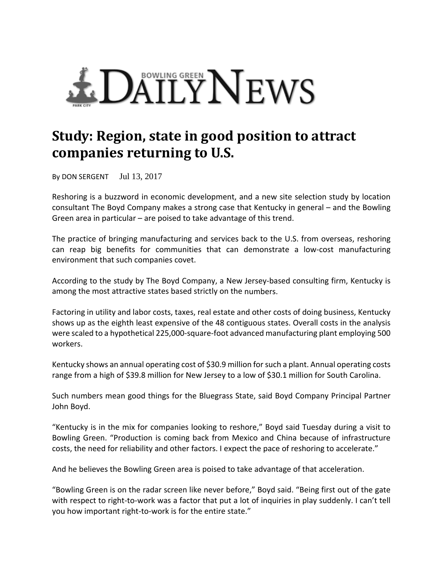

## **Study: Region, state in good position to attract companies returning to U.S.**

By DON SERGENT Jul 13, 2017

Reshoring is a buzzword in economic development, and a new site selection study by location consultant The Boyd Company makes a strong case that Kentucky in general – and the Bowling Green area in particular – are poised to take advantage of this trend.

The practice of bringing manufacturing and services back to the U.S. from overseas, reshoring can reap big benefits for communities that can demonstrate a low‐cost manufacturing environment that such companies covet.

According to the study by The Boyd Company, a New Jersey‐based consulting firm, Kentucky is among the most attractive states based strictly on the numbers.

Factoring in utility and labor costs, taxes, real estate and other costs of doing business, Kentucky shows up as the eighth least expensive of the 48 contiguous states. Overall costs in the analysis were scaled to a hypothetical 225,000-square-foot advanced manufacturing plant employing 500 workers.

Kentucky shows an annual operating cost of \$30.9 million forsuch a plant. Annual operating costs range from a high of \$39.8 million for New Jersey to a low of \$30.1 million for South Carolina.

Such numbers mean good things for the Bluegrass State, said Boyd Company Principal Partner John Boyd.

"Kentucky is in the mix for companies looking to reshore," Boyd said Tuesday during a visit to Bowling Green. "Production is coming back from Mexico and China because of infrastructure costs, the need for reliability and other factors. I expect the pace of reshoring to accelerate."

And he believes the Bowling Green area is poised to take advantage of that acceleration.

"Bowling Green is on the radar screen like never before," Boyd said. "Being first out of the gate with respect to right-to-work was a factor that put a lot of inquiries in play suddenly. I can't tell you how important right‐to‐work is for the entire state."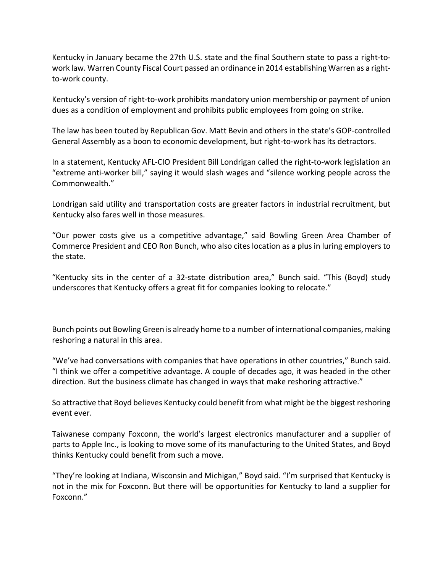Kentucky in January became the 27th U.S. state and the final Southern state to pass a right-towork law. Warren County Fiscal Court passed an ordinance in 2014 establishing Warren as a rightto‐work county.

Kentucky's version of right-to-work prohibits mandatory union membership or payment of union dues as a condition of employment and prohibits public employees from going on strike.

The law has been touted by Republican Gov. Matt Bevin and others in the state's GOP‐controlled General Assembly as a boon to economic development, but right‐to‐work has its detractors.

In a statement, Kentucky AFL‐CIO President Bill Londrigan called the right‐to‐work legislation an "extreme anti‐worker bill," saying it would slash wages and "silence working people across the Commonwealth."

Londrigan said utility and transportation costs are greater factors in industrial recruitment, but Kentucky also fares well in those measures.

"Our power costs give us a competitive advantage," said Bowling Green Area Chamber of Commerce President and CEO Ron Bunch, who also cites location as a plus in luring employers to the state.

"Kentucky sits in the center of a 32‐state distribution area," Bunch said. "This (Boyd) study underscores that Kentucky offers a great fit for companies looking to relocate."

Bunch points out Bowling Green is already home to a number of international companies, making reshoring a natural in this area.

"We've had conversations with companies that have operations in other countries," Bunch said. "I think we offer a competitive advantage. A couple of decades ago, it was headed in the other direction. But the business climate has changed in ways that make reshoring attractive."

So attractive that Boyd believes Kentucky could benefit from what might be the biggest reshoring event ever.

Taiwanese company Foxconn, the world's largest electronics manufacturer and a supplier of parts to Apple Inc., is looking to move some of its manufacturing to the United States, and Boyd thinks Kentucky could benefit from such a move.

"They're looking at Indiana, Wisconsin and Michigan," Boyd said. "I'm surprised that Kentucky is not in the mix for Foxconn. But there will be opportunities for Kentucky to land a supplier for Foxconn."